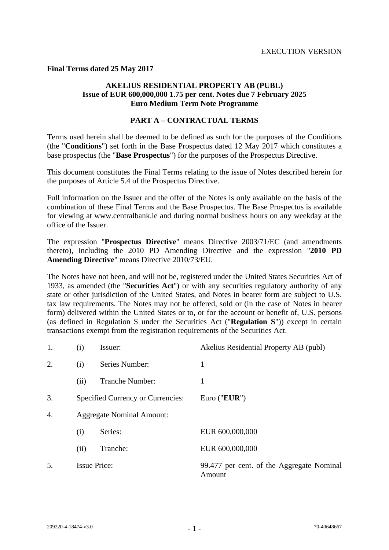**Final Terms dated 25 May 2017** 

# **AKELIUS RESIDENTIAL PROPERTY AB (PUBL) Issue of EUR 600,000,000 1.75 per cent. Notes due 7 February 2025 Euro Medium Term Note Programme**

## **PART A – CONTRACTUAL TERMS**

Terms used herein shall be deemed to be defined as such for the purposes of the Conditions (the "**Conditions**") set forth in the Base Prospectus dated 12 May 2017 which constitutes a base prospectus (the "**Base Prospectus**") for the purposes of the Prospectus Directive.

This document constitutes the Final Terms relating to the issue of Notes described herein for the purposes of Article 5.4 of the Prospectus Directive.

Full information on the Issuer and the offer of the Notes is only available on the basis of the combination of these Final Terms and the Base Prospectus. The Base Prospectus is available for viewing at www.centralbank.ie and during normal business hours on any weekday at the office of the Issuer.

The expression "**Prospectus Directive**" means Directive 2003/71/EC (and amendments thereto), including the 2010 PD Amending Directive and the expression "**2010 PD Amending Directive**" means Directive 2010/73/EU.

The Notes have not been, and will not be, registered under the United States Securities Act of 1933, as amended (the "**Securities Act**") or with any securities regulatory authority of any state or other jurisdiction of the United States, and Notes in bearer form are subject to U.S. tax law requirements. The Notes may not be offered, sold or (in the case of Notes in bearer form) delivered within the United States or to, or for the account or benefit of, U.S. persons (as defined in Regulation S under the Securities Act ("**Regulation S**")) except in certain transactions exempt from the registration requirements of the Securities Act.

| 1. | (i)                 | Issuer:                                  | Akelius Residential Property AB (publ)              |
|----|---------------------|------------------------------------------|-----------------------------------------------------|
| 2. | (i)                 | Series Number:                           | 1                                                   |
|    | (ii)                | <b>Tranche Number:</b>                   | 1                                                   |
| 3. |                     | <b>Specified Currency or Currencies:</b> | Euro (" $EUR$ ")                                    |
| 4. |                     | <b>Aggregate Nominal Amount:</b>         |                                                     |
|    | (i)                 | Series:                                  | EUR 600,000,000                                     |
|    | (ii)                | Tranche:                                 | EUR 600,000,000                                     |
| 5. | <b>Issue Price:</b> |                                          | 99.477 per cent. of the Aggregate Nominal<br>Amount |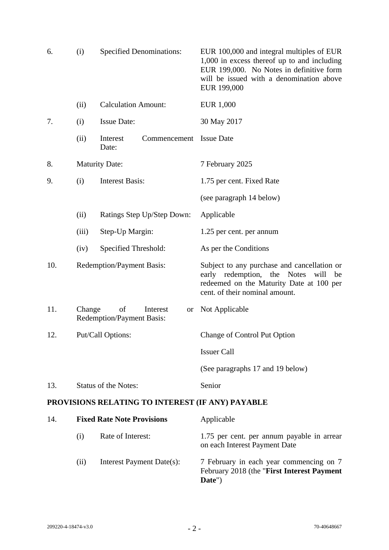| 6.                                               | <b>Specified Denominations:</b><br>(i) |                                                                 | EUR 100,000 and integral multiples of EUR<br>1,000 in excess thereof up to and including<br>EUR 199,000. No Notes in definitive form<br>will be issued with a denomination above<br>EUR 199,000 |  |
|--------------------------------------------------|----------------------------------------|-----------------------------------------------------------------|-------------------------------------------------------------------------------------------------------------------------------------------------------------------------------------------------|--|
|                                                  | (ii)                                   | <b>Calculation Amount:</b>                                      | EUR 1,000                                                                                                                                                                                       |  |
| 7.                                               | (i)                                    | <b>Issue Date:</b>                                              | 30 May 2017                                                                                                                                                                                     |  |
|                                                  | (ii)                                   | Interest<br>Commencement<br>Date:                               | <b>Issue Date</b>                                                                                                                                                                               |  |
| 8.                                               |                                        | <b>Maturity Date:</b>                                           | 7 February 2025                                                                                                                                                                                 |  |
| 9.                                               | (i)                                    | <b>Interest Basis:</b>                                          | 1.75 per cent. Fixed Rate                                                                                                                                                                       |  |
|                                                  |                                        |                                                                 | (see paragraph 14 below)                                                                                                                                                                        |  |
|                                                  | (ii)                                   | Ratings Step Up/Step Down:                                      | Applicable                                                                                                                                                                                      |  |
|                                                  | (iii)                                  | Step-Up Margin:                                                 | 1.25 per cent. per annum                                                                                                                                                                        |  |
|                                                  | (iv)                                   | Specified Threshold:                                            | As per the Conditions                                                                                                                                                                           |  |
| 10.                                              |                                        | <b>Redemption/Payment Basis:</b>                                | Subject to any purchase and cancellation or<br>early redemption, the Notes<br>will<br>be<br>redeemed on the Maturity Date at 100 per<br>cent. of their nominal amount.                          |  |
| 11.                                              | Change                                 | of<br>Interest<br><b>or</b><br><b>Redemption/Payment Basis:</b> | Not Applicable                                                                                                                                                                                  |  |
| 12.                                              | Put/Call Options:                      |                                                                 | Change of Control Put Option                                                                                                                                                                    |  |
|                                                  |                                        |                                                                 | <b>Issuer Call</b>                                                                                                                                                                              |  |
|                                                  |                                        |                                                                 | (See paragraphs 17 and 19 below)                                                                                                                                                                |  |
| 13.                                              |                                        | <b>Status of the Notes:</b>                                     | Senior                                                                                                                                                                                          |  |
| PROVISIONS RELATING TO INTEREST (IF ANY) PAYABLE |                                        |                                                                 |                                                                                                                                                                                                 |  |
| 14.                                              |                                        | <b>Fixed Rate Note Provisions</b>                               | Applicable                                                                                                                                                                                      |  |
|                                                  | (i)                                    | Rate of Interest:                                               | 1.75 per cent. per annum payable in arrear<br>on each Interest Payment Date                                                                                                                     |  |
|                                                  | (ii)                                   | Interest Payment Date(s):                                       | 7 February in each year commencing on 7<br>February 2018 (the "First Interest Payment<br>Date")                                                                                                 |  |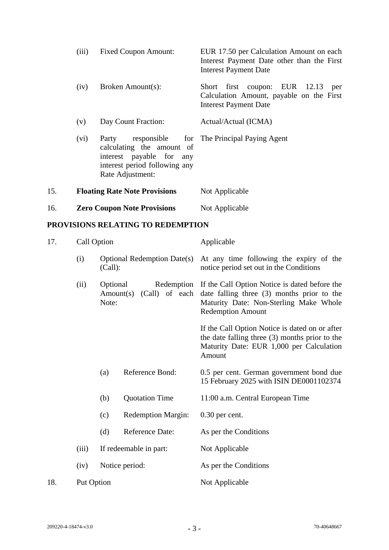|     | (iii)                                | <b>Fixed Coupon Amount:</b>                                                                                                                                    | EUR 17.50 per Calculation Amount on each<br>Interest Payment Date other than the First<br><b>Interest Payment Date</b> |  |  |
|-----|--------------------------------------|----------------------------------------------------------------------------------------------------------------------------------------------------------------|------------------------------------------------------------------------------------------------------------------------|--|--|
|     | (iv)                                 | Broken Amount(s):                                                                                                                                              | Short first coupon: EUR 12.13<br>per<br>Calculation Amount, payable on the First<br><b>Interest Payment Date</b>       |  |  |
|     | Day Count Fraction:<br>(v)           |                                                                                                                                                                | Actual/Actual (ICMA)                                                                                                   |  |  |
|     | (vi)                                 | Party responsible for The Principal Paying Agent<br>calculating the amount of<br>interest payable for any<br>interest period following any<br>Rate Adjustment: |                                                                                                                        |  |  |
| 15. | <b>Floating Rate Note Provisions</b> |                                                                                                                                                                | Not Applicable                                                                                                         |  |  |
| 16. |                                      | <b>Zero Coupon Note Provisions</b>                                                                                                                             | Not Applicable                                                                                                         |  |  |
|     | PROVISIONS RELATING TO REDEMPTION    |                                                                                                                                                                |                                                                                                                        |  |  |
| 17  | $C_2$ ll Option                      |                                                                                                                                                                | Applicable                                                                                                             |  |  |

| 17. |            | Call Option                              |                                    | Applicable                                                                                                                                                                     |
|-----|------------|------------------------------------------|------------------------------------|--------------------------------------------------------------------------------------------------------------------------------------------------------------------------------|
|     | (i)        | (Call):                                  | <b>Optional Redemption Date(s)</b> | At any time following the expiry of the<br>notice period set out in the Conditions                                                                                             |
|     | (ii)       | Optional<br>Amount(s)<br>Note:           | (Call) of each                     | Redemption If the Call Option Notice is dated before the<br>date falling three $(3)$ months prior to the<br>Maturity Date: Non-Sterling Make Whole<br><b>Redemption Amount</b> |
|     |            |                                          |                                    | If the Call Option Notice is dated on or after<br>the date falling three $(3)$ months prior to the<br>Maturity Date: EUR 1,000 per Calculation<br>Amount                       |
|     |            | (a)                                      | Reference Bond:                    | 0.5 per cent. German government bond due<br>15 February 2025 with ISIN DE0001102374                                                                                            |
|     |            | (b)                                      | <b>Quotation Time</b>              | 11:00 a.m. Central European Time                                                                                                                                               |
|     |            | (c)                                      | <b>Redemption Margin:</b>          | $0.30$ per cent.                                                                                                                                                               |
|     |            | (d)                                      | <b>Reference Date:</b>             | As per the Conditions                                                                                                                                                          |
|     | (iii)      | If redeemable in part:<br>Notice period: |                                    | Not Applicable                                                                                                                                                                 |
|     | (iv)       |                                          |                                    | As per the Conditions                                                                                                                                                          |
| 18. | Put Option |                                          |                                    | Not Applicable                                                                                                                                                                 |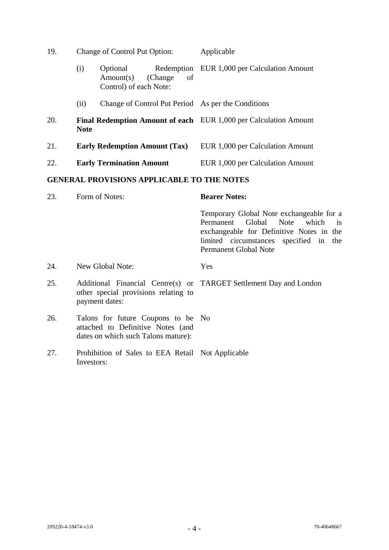| 19. |                                                                                        | <b>Change of Control Put Option:</b>                              | Applicable                                  |  |
|-----|----------------------------------------------------------------------------------------|-------------------------------------------------------------------|---------------------------------------------|--|
|     | (i)                                                                                    | Optional<br>Amount(s)<br>of<br>(Change)<br>Control) of each Note: | Redemption EUR 1,000 per Calculation Amount |  |
|     | (ii)                                                                                   | Change of Control Put Period As per the Conditions                |                                             |  |
| 20. | <b>Final Redemption Amount of each EUR 1,000 per Calculation Amount</b><br><b>Note</b> |                                                                   |                                             |  |
| 21. |                                                                                        | <b>Early Redemption Amount (Tax)</b>                              | EUR 1,000 per Calculation Amount            |  |
| 22. |                                                                                        | <b>Early Termination Amount</b>                                   | EUR 1,000 per Calculation Amount            |  |

# **GENERAL PROVISIONS APPLICABLE TO THE NOTES**

| 23. | Form of Notes:                                                                                                 | <b>Bearer Notes:</b>                                                                                                                                                                                            |
|-----|----------------------------------------------------------------------------------------------------------------|-----------------------------------------------------------------------------------------------------------------------------------------------------------------------------------------------------------------|
|     |                                                                                                                | Temporary Global Note exchangeable for a<br>Permanent Global Note which<br>$\overline{1}$<br>exchangeable for Definitive Notes in the<br>limited circumstances specified in the<br><b>Permanent Global Note</b> |
| 24. | New Global Note:                                                                                               | Yes                                                                                                                                                                                                             |
| 25. | other special provisions relating to<br>payment dates:                                                         | Additional Financial Centre(s) or TARGET Settlement Day and London                                                                                                                                              |
| 26. | Talons for future Coupons to be No<br>attached to Definitive Notes (and<br>dates on which such Talons mature): |                                                                                                                                                                                                                 |
| 27. | Prohibition of Sales to EEA Retail Not Applicable<br>Investors:                                                |                                                                                                                                                                                                                 |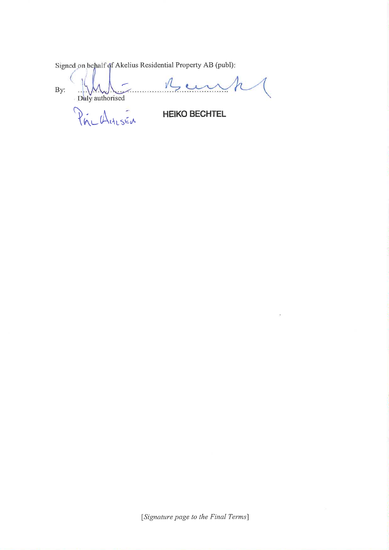Signed on behalf of Akelius Residential Property AB (publ):

Mey  $By:$ Daly authorised

PrinchasEn

**HEIKO BECHTEL** 

[Signature page to the Final Terms]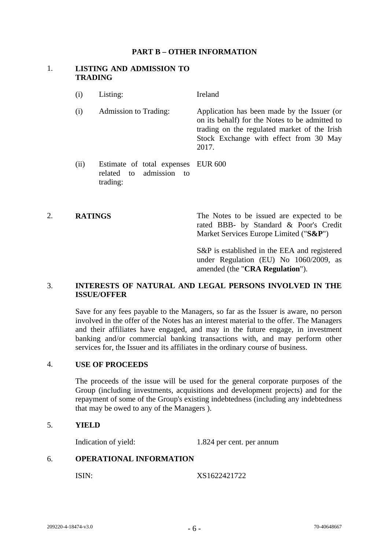#### **PART B – OTHER INFORMATION**

#### 1. **LISTING AND ADMISSION TO TRADING**

- (i) Listing: Ireland
- (i) Admission to Trading: Application has been made by the Issuer (or on its behalf) for the Notes to be admitted to trading on the regulated market of the Irish Stock Exchange with effect from 30 May 2017.
- (ii) Estimate of total expenses EUR 600 related to admission to trading:

2. **RATINGS** The Notes to be issued are expected to be rated BBB- by Standard & Poor's Credit Market Services Europe Limited ("**S&P**")

> S&P is established in the EEA and registered under Regulation (EU) No 1060/2009, as amended (the "**CRA Regulation**").

## 3. **INTERESTS OF NATURAL AND LEGAL PERSONS INVOLVED IN THE ISSUE/OFFER**

 Save for any fees payable to the Managers, so far as the Issuer is aware, no person involved in the offer of the Notes has an interest material to the offer. The Managers and their affiliates have engaged, and may in the future engage, in investment banking and/or commercial banking transactions with, and may perform other services for, the Issuer and its affiliates in the ordinary course of business.

#### 4. **USE OF PROCEEDS**

 The proceeds of the issue will be used for the general corporate purposes of the Group (including investments, acquisitions and development projects) and for the repayment of some of the Group's existing indebtedness (including any indebtedness that may be owed to any of the Managers ).

#### 5. **YIELD**

Indication of yield: 1.824 per cent. per annum

#### 6. **OPERATIONAL INFORMATION**

ISIN: XS1622421722